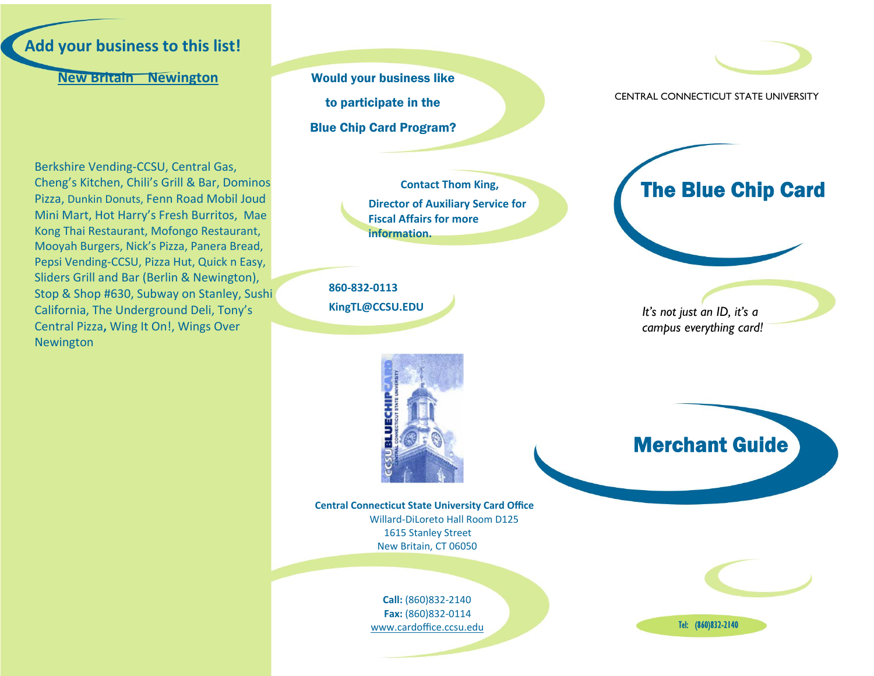

# **New Britain Newington**

Berkshire Vending‐CCSU, Central Gas, Cheng's Kitchen, Chili's Grill & Bar, Dominos Pizza, Dunkin Donuts, Fenn Road Mobil Joud Mini Mart, Hot Harry's Fresh Burritos, Mae Kong Thai Restaurant, Mofongo Restaurant, Mooyah Burgers, Nick's Pizza, Panera Bread, Pepsi Vending‐CCSU, Pizza Hut, Quick <sup>n</sup> Easy, Sliders Grill and Bar (Berlin & Newington), Stop & Shop #630, Subway on Stanley, Sushi California, The Underground Deli, Tony's Central Pizza**,** Wing It On!, Wings Over Newington

Would your business like to participate in the Blue Chip Card Program?

> **Contact Thom King, Director of Auxiliary Service for Fiscal Affairs for moreinformation.**

**860‐832‐0113KingTL@CCSU.EDU**



CENTRAL CONNECTICUT STATE UNIVERSITY



*It's not just an ID, it's a campus everything card!* 



**Central Connecticut State University Card Office** Willard‐DiLoreto Hall Room D125 1615 Stanley Street New Britain, CT 06050

> **Call:** (860)832‐2140 **Fax:** (860)832‐0114 www.cardoffice.ccsu.edu

Merchant Guide

Tel: (860)832-2140